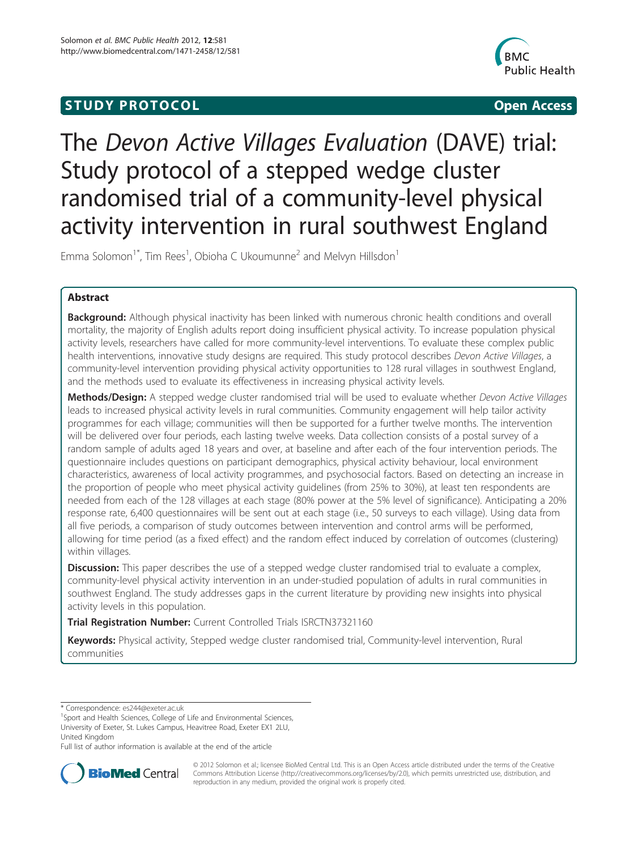# **STUDY PROTOCOL CONSUMING THE RESERVE ACCESS**



# The Devon Active Villages Evaluation (DAVE) trial: Study protocol of a stepped wedge cluster randomised trial of a community-level physical activity intervention in rural southwest England

Emma Solomon $^{1^*}$ , Tim Rees<sup>1</sup>, Obioha C Ukoumunne<sup>2</sup> and Melvyn Hillsdon $^1$ 

# Abstract

**Background:** Although physical inactivity has been linked with numerous chronic health conditions and overall mortality, the majority of English adults report doing insufficient physical activity. To increase population physical activity levels, researchers have called for more community-level interventions. To evaluate these complex public health interventions, innovative study designs are required. This study protocol describes Devon Active Villages, a community-level intervention providing physical activity opportunities to 128 rural villages in southwest England, and the methods used to evaluate its effectiveness in increasing physical activity levels.

Methods/Design: A stepped wedge cluster randomised trial will be used to evaluate whether Devon Active Villages leads to increased physical activity levels in rural communities. Community engagement will help tailor activity programmes for each village; communities will then be supported for a further twelve months. The intervention will be delivered over four periods, each lasting twelve weeks. Data collection consists of a postal survey of a random sample of adults aged 18 years and over, at baseline and after each of the four intervention periods. The questionnaire includes questions on participant demographics, physical activity behaviour, local environment characteristics, awareness of local activity programmes, and psychosocial factors. Based on detecting an increase in the proportion of people who meet physical activity guidelines (from 25% to 30%), at least ten respondents are needed from each of the 128 villages at each stage (80% power at the 5% level of significance). Anticipating a 20% response rate, 6,400 questionnaires will be sent out at each stage (i.e., 50 surveys to each village). Using data from all five periods, a comparison of study outcomes between intervention and control arms will be performed, allowing for time period (as a fixed effect) and the random effect induced by correlation of outcomes (clustering) within villages.

**Discussion:** This paper describes the use of a stepped wedge cluster randomised trial to evaluate a complex, community-level physical activity intervention in an under-studied population of adults in rural communities in southwest England. The study addresses gaps in the current literature by providing new insights into physical activity levels in this population.

Trial Registration Number: Current Controlled Trials ISRCTN37321160

Keywords: Physical activity, Stepped wedge cluster randomised trial, Community-level intervention, Rural communities

\* Correspondence: [es244@exeter.ac.uk](mailto:es244@exeter.ac.uk) <sup>1</sup>

<sup>1</sup>Sport and Health Sciences, College of Life and Environmental Sciences, University of Exeter, St. Lukes Campus, Heavitree Road, Exeter EX1 2LU, United Kingdom

Full list of author information is available at the end of the article



© 2012 Solomon et al.; licensee BioMed Central Ltd. This is an Open Access article distributed under the terms of the Creative Commons Attribution License [\(http://creativecommons.org/licenses/by/2.0\)](http://creativecommons.org/licenses/by/2.0), which permits unrestricted use, distribution, and reproduction in any medium, provided the original work is properly cited.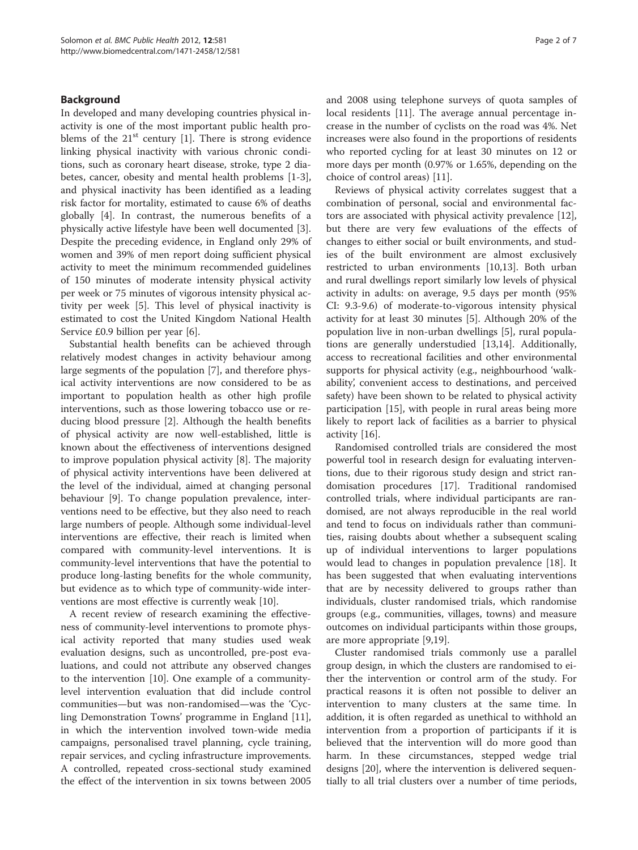# Background

In developed and many developing countries physical inactivity is one of the most important public health problems of the  $21^{st}$  century [[1\]](#page-6-0). There is strong evidence linking physical inactivity with various chronic conditions, such as coronary heart disease, stroke, type 2 diabetes, cancer, obesity and mental health problems [[1-3](#page-6-0)], and physical inactivity has been identified as a leading risk factor for mortality, estimated to cause 6% of deaths globally [\[4\]](#page-6-0). In contrast, the numerous benefits of a physically active lifestyle have been well documented [\[3](#page-6-0)]. Despite the preceding evidence, in England only 29% of women and 39% of men report doing sufficient physical activity to meet the minimum recommended guidelines of 150 minutes of moderate intensity physical activity per week or 75 minutes of vigorous intensity physical activity per week [\[5](#page-6-0)]. This level of physical inactivity is estimated to cost the United Kingdom National Health Service £0.9 billion per year [[6\]](#page-6-0).

Substantial health benefits can be achieved through relatively modest changes in activity behaviour among large segments of the population [\[7](#page-6-0)], and therefore physical activity interventions are now considered to be as important to population health as other high profile interventions, such as those lowering tobacco use or reducing blood pressure [\[2](#page-6-0)]. Although the health benefits of physical activity are now well-established, little is known about the effectiveness of interventions designed to improve population physical activity [[8\]](#page-6-0). The majority of physical activity interventions have been delivered at the level of the individual, aimed at changing personal behaviour [[9\]](#page-6-0). To change population prevalence, interventions need to be effective, but they also need to reach large numbers of people. Although some individual-level interventions are effective, their reach is limited when compared with community-level interventions. It is community-level interventions that have the potential to produce long-lasting benefits for the whole community, but evidence as to which type of community-wide interventions are most effective is currently weak [\[10\]](#page-6-0).

A recent review of research examining the effectiveness of community-level interventions to promote physical activity reported that many studies used weak evaluation designs, such as uncontrolled, pre-post evaluations, and could not attribute any observed changes to the intervention [\[10](#page-6-0)]. One example of a communitylevel intervention evaluation that did include control communities—but was non-randomised—was the 'Cycling Demonstration Towns' programme in England [\[11](#page-6-0)], in which the intervention involved town-wide media campaigns, personalised travel planning, cycle training, repair services, and cycling infrastructure improvements. A controlled, repeated cross-sectional study examined the effect of the intervention in six towns between 2005

and 2008 using telephone surveys of quota samples of local residents [\[11\]](#page-6-0). The average annual percentage increase in the number of cyclists on the road was 4%. Net increases were also found in the proportions of residents who reported cycling for at least 30 minutes on 12 or more days per month (0.97% or 1.65%, depending on the choice of control areas) [\[11](#page-6-0)].

Reviews of physical activity correlates suggest that a combination of personal, social and environmental factors are associated with physical activity prevalence [\[12](#page-6-0)], but there are very few evaluations of the effects of changes to either social or built environments, and studies of the built environment are almost exclusively restricted to urban environments [\[10,13\]](#page-6-0). Both urban and rural dwellings report similarly low levels of physical activity in adults: on average, 9.5 days per month (95% CI: 9.3-9.6) of moderate-to-vigorous intensity physical activity for at least 30 minutes [\[5](#page-6-0)]. Although 20% of the population live in non-urban dwellings [\[5\]](#page-6-0), rural populations are generally understudied [\[13,14](#page-6-0)]. Additionally, access to recreational facilities and other environmental supports for physical activity (e.g., neighbourhood 'walkability', convenient access to destinations, and perceived safety) have been shown to be related to physical activity participation [\[15\]](#page-6-0), with people in rural areas being more likely to report lack of facilities as a barrier to physical activity [[16\]](#page-6-0).

Randomised controlled trials are considered the most powerful tool in research design for evaluating interventions, due to their rigorous study design and strict randomisation procedures [\[17](#page-6-0)]. Traditional randomised controlled trials, where individual participants are randomised, are not always reproducible in the real world and tend to focus on individuals rather than communities, raising doubts about whether a subsequent scaling up of individual interventions to larger populations would lead to changes in population prevalence [\[18\]](#page-6-0). It has been suggested that when evaluating interventions that are by necessity delivered to groups rather than individuals, cluster randomised trials, which randomise groups (e.g., communities, villages, towns) and measure outcomes on individual participants within those groups, are more appropriate [[9,19](#page-6-0)].

Cluster randomised trials commonly use a parallel group design, in which the clusters are randomised to either the intervention or control arm of the study. For practical reasons it is often not possible to deliver an intervention to many clusters at the same time. In addition, it is often regarded as unethical to withhold an intervention from a proportion of participants if it is believed that the intervention will do more good than harm. In these circumstances, stepped wedge trial designs [[20\]](#page-6-0), where the intervention is delivered sequentially to all trial clusters over a number of time periods,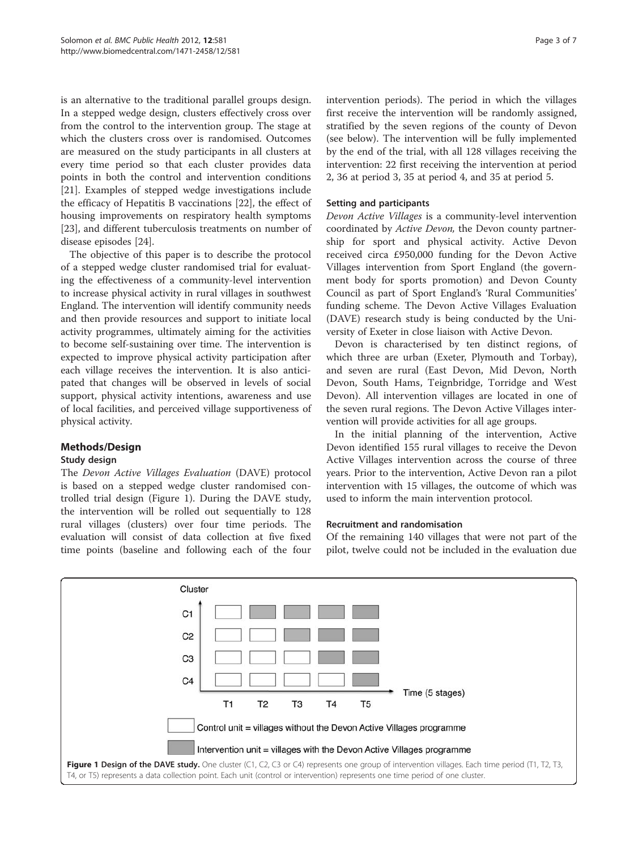is an alternative to the traditional parallel groups design. In a stepped wedge design, clusters effectively cross over from the control to the intervention group. The stage at which the clusters cross over is randomised. Outcomes are measured on the study participants in all clusters at every time period so that each cluster provides data points in both the control and intervention conditions [[21\]](#page-6-0). Examples of stepped wedge investigations include the efficacy of Hepatitis B vaccinations [[22\]](#page-6-0), the effect of housing improvements on respiratory health symptoms [[23\]](#page-6-0), and different tuberculosis treatments on number of disease episodes [[24\]](#page-6-0).

The objective of this paper is to describe the protocol of a stepped wedge cluster randomised trial for evaluating the effectiveness of a community-level intervention to increase physical activity in rural villages in southwest England. The intervention will identify community needs and then provide resources and support to initiate local activity programmes, ultimately aiming for the activities to become self-sustaining over time. The intervention is expected to improve physical activity participation after each village receives the intervention. It is also anticipated that changes will be observed in levels of social support, physical activity intentions, awareness and use of local facilities, and perceived village supportiveness of physical activity.

# Methods/Design

# Study design

The Devon Active Villages Evaluation (DAVE) protocol is based on a stepped wedge cluster randomised controlled trial design (Figure 1). During the DAVE study, the intervention will be rolled out sequentially to 128 rural villages (clusters) over four time periods. The evaluation will consist of data collection at five fixed time points (baseline and following each of the four intervention periods). The period in which the villages first receive the intervention will be randomly assigned, stratified by the seven regions of the county of Devon (see below). The intervention will be fully implemented by the end of the trial, with all 128 villages receiving the intervention: 22 first receiving the intervention at period 2, 36 at period 3, 35 at period 4, and 35 at period 5.

# Setting and participants

Devon Active Villages is a community-level intervention coordinated by Active Devon, the Devon county partnership for sport and physical activity. Active Devon received circa £950,000 funding for the Devon Active Villages intervention from Sport England (the government body for sports promotion) and Devon County Council as part of Sport England's 'Rural Communities' funding scheme. The Devon Active Villages Evaluation (DAVE) research study is being conducted by the University of Exeter in close liaison with Active Devon.

Devon is characterised by ten distinct regions, of which three are urban (Exeter, Plymouth and Torbay), and seven are rural (East Devon, Mid Devon, North Devon, South Hams, Teignbridge, Torridge and West Devon). All intervention villages are located in one of the seven rural regions. The Devon Active Villages intervention will provide activities for all age groups.

In the initial planning of the intervention, Active Devon identified 155 rural villages to receive the Devon Active Villages intervention across the course of three years. Prior to the intervention, Active Devon ran a pilot intervention with 15 villages, the outcome of which was used to inform the main intervention protocol.

# Recruitment and randomisation

Of the remaining 140 villages that were not part of the pilot, twelve could not be included in the evaluation due

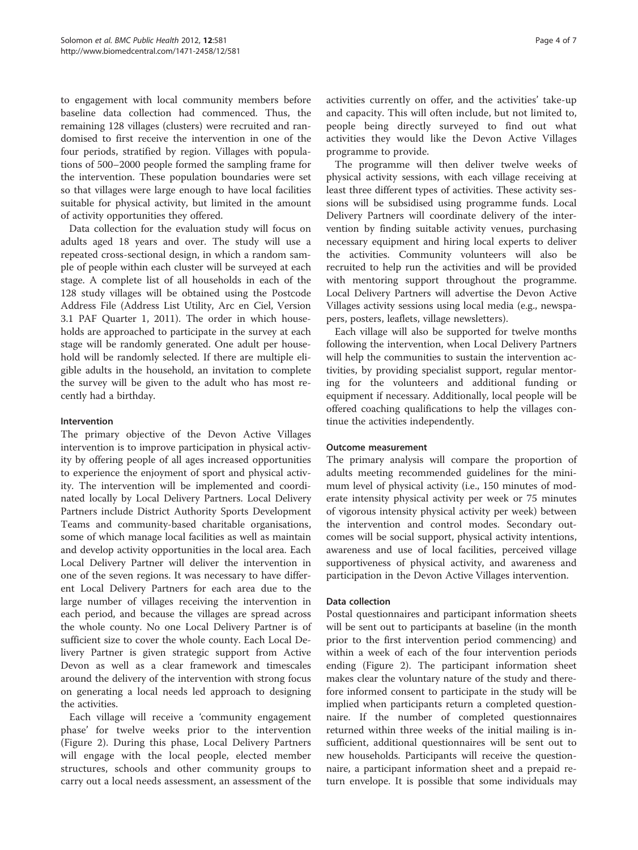to engagement with local community members before baseline data collection had commenced. Thus, the remaining 128 villages (clusters) were recruited and randomised to first receive the intervention in one of the four periods, stratified by region. Villages with populations of 500–2000 people formed the sampling frame for the intervention. These population boundaries were set so that villages were large enough to have local facilities suitable for physical activity, but limited in the amount of activity opportunities they offered.

Data collection for the evaluation study will focus on adults aged 18 years and over. The study will use a repeated cross-sectional design, in which a random sample of people within each cluster will be surveyed at each stage. A complete list of all households in each of the 128 study villages will be obtained using the Postcode Address File (Address List Utility, Arc en Ciel, Version 3.1 PAF Quarter 1, 2011). The order in which households are approached to participate in the survey at each stage will be randomly generated. One adult per household will be randomly selected. If there are multiple eligible adults in the household, an invitation to complete the survey will be given to the adult who has most recently had a birthday.

# Intervention

The primary objective of the Devon Active Villages intervention is to improve participation in physical activity by offering people of all ages increased opportunities to experience the enjoyment of sport and physical activity. The intervention will be implemented and coordinated locally by Local Delivery Partners. Local Delivery Partners include District Authority Sports Development Teams and community-based charitable organisations, some of which manage local facilities as well as maintain and develop activity opportunities in the local area. Each Local Delivery Partner will deliver the intervention in one of the seven regions. It was necessary to have different Local Delivery Partners for each area due to the large number of villages receiving the intervention in each period, and because the villages are spread across the whole county. No one Local Delivery Partner is of sufficient size to cover the whole county. Each Local Delivery Partner is given strategic support from Active Devon as well as a clear framework and timescales around the delivery of the intervention with strong focus on generating a local needs led approach to designing the activities.

Each village will receive a 'community engagement phase' for twelve weeks prior to the intervention (Figure [2\)](#page-4-0). During this phase, Local Delivery Partners will engage with the local people, elected member structures, schools and other community groups to carry out a local needs assessment, an assessment of the activities currently on offer, and the activities' take-up and capacity. This will often include, but not limited to, people being directly surveyed to find out what activities they would like the Devon Active Villages programme to provide.

The programme will then deliver twelve weeks of physical activity sessions, with each village receiving at least three different types of activities. These activity sessions will be subsidised using programme funds. Local Delivery Partners will coordinate delivery of the intervention by finding suitable activity venues, purchasing necessary equipment and hiring local experts to deliver the activities. Community volunteers will also be recruited to help run the activities and will be provided with mentoring support throughout the programme. Local Delivery Partners will advertise the Devon Active Villages activity sessions using local media (e.g., newspapers, posters, leaflets, village newsletters).

Each village will also be supported for twelve months following the intervention, when Local Delivery Partners will help the communities to sustain the intervention activities, by providing specialist support, regular mentoring for the volunteers and additional funding or equipment if necessary. Additionally, local people will be offered coaching qualifications to help the villages continue the activities independently.

# Outcome measurement

The primary analysis will compare the proportion of adults meeting recommended guidelines for the minimum level of physical activity (i.e., 150 minutes of moderate intensity physical activity per week or 75 minutes of vigorous intensity physical activity per week) between the intervention and control modes. Secondary outcomes will be social support, physical activity intentions, awareness and use of local facilities, perceived village supportiveness of physical activity, and awareness and participation in the Devon Active Villages intervention.

# Data collection

Postal questionnaires and participant information sheets will be sent out to participants at baseline (in the month prior to the first intervention period commencing) and within a week of each of the four intervention periods ending (Figure [2\)](#page-4-0). The participant information sheet makes clear the voluntary nature of the study and therefore informed consent to participate in the study will be implied when participants return a completed questionnaire. If the number of completed questionnaires returned within three weeks of the initial mailing is insufficient, additional questionnaires will be sent out to new households. Participants will receive the questionnaire, a participant information sheet and a prepaid return envelope. It is possible that some individuals may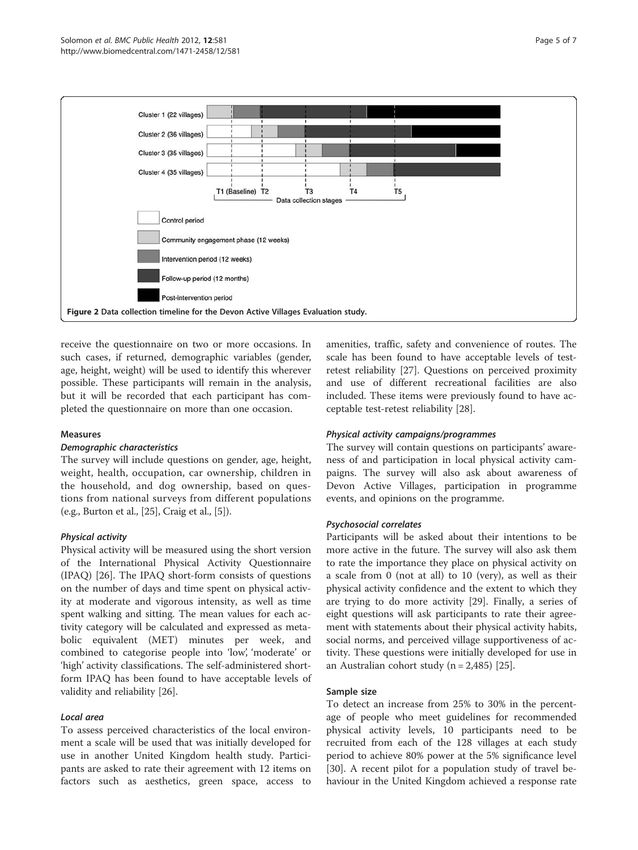<span id="page-4-0"></span>

receive the questionnaire on two or more occasions. In such cases, if returned, demographic variables (gender, age, height, weight) will be used to identify this wherever possible. These participants will remain in the analysis, but it will be recorded that each participant has completed the questionnaire on more than one occasion.

# Measures

The survey will include questions on gender, age, height, weight, health, occupation, car ownership, children in the household, and dog ownership, based on questions from national surveys from different populations (e.g., Burton et al., [[25](#page-6-0)], Craig et al., [\[5\]](#page-6-0)).

Physical activity Physical activity will be measured using the short version of the International Physical Activity Questionnaire (IPAQ) [[26](#page-6-0)]. The IPAQ short-form consists of questions on the number of days and time spent on physical activity at moderate and vigorous intensity, as well as time spent walking and sitting. The mean values for each activity category will be calculated and expressed as metabolic equivalent (MET) minutes per week, and combined to categorise people into 'low', 'moderate' or 'high' activity classifications. The self-administered shortform IPAQ has been found to have acceptable levels of validity and reliability [\[26\]](#page-6-0).

To assess perceived characteristics of the local environment a scale will be used that was initially developed for use in another United Kingdom health study. Participants are asked to rate their agreement with 12 items on factors such as aesthetics, green space, access to

amenities, traffic, safety and convenience of routes. The scale has been found to have acceptable levels of testretest reliability [[27\]](#page-6-0). Questions on perceived proximity and use of different recreational facilities are also included. These items were previously found to have acceptable test-retest reliability [[28\]](#page-6-0).

The survey will contain questions on participants' awareness of and participation in local physical activity campaigns. The survey will also ask about awareness of Devon Active Villages, participation in programme events, and opinions on the programme.

Participants will be asked about their intentions to be more active in the future. The survey will also ask them to rate the importance they place on physical activity on a scale from 0 (not at all) to 10 (very), as well as their physical activity confidence and the extent to which they are trying to do more activity [[29\]](#page-6-0). Finally, a series of eight questions will ask participants to rate their agreement with statements about their physical activity habits, social norms, and perceived village supportiveness of activity. These questions were initially developed for use in an Australian cohort study  $(n = 2,485)$  [[25\]](#page-6-0).

# Sample size

To detect an increase from 25% to 30% in the percentage of people who meet guidelines for recommended physical activity levels, 10 participants need to be recruited from each of the 128 villages at each study period to achieve 80% power at the 5% significance level [[30\]](#page-6-0). A recent pilot for a population study of travel behaviour in the United Kingdom achieved a response rate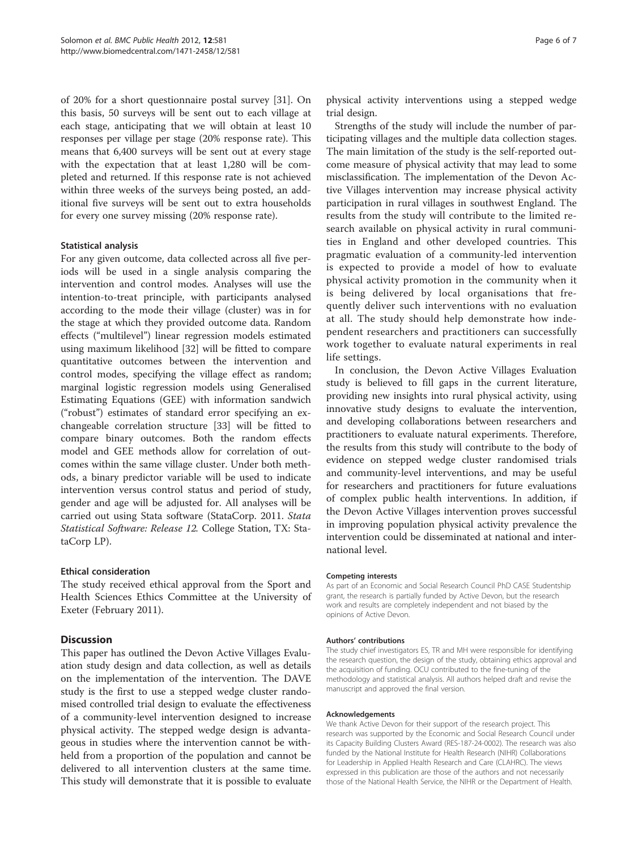of 20% for a short questionnaire postal survey [\[31](#page-6-0)]. On this basis, 50 surveys will be sent out to each village at each stage, anticipating that we will obtain at least 10 responses per village per stage (20% response rate). This means that 6,400 surveys will be sent out at every stage with the expectation that at least 1,280 will be completed and returned. If this response rate is not achieved within three weeks of the surveys being posted, an additional five surveys will be sent out to extra households for every one survey missing (20% response rate).

### Statistical analysis

For any given outcome, data collected across all five periods will be used in a single analysis comparing the intervention and control modes. Analyses will use the intention-to-treat principle, with participants analysed according to the mode their village (cluster) was in for the stage at which they provided outcome data. Random effects ("multilevel") linear regression models estimated using maximum likelihood [[32\]](#page-6-0) will be fitted to compare quantitative outcomes between the intervention and control modes, specifying the village effect as random; marginal logistic regression models using Generalised Estimating Equations (GEE) with information sandwich ("robust") estimates of standard error specifying an exchangeable correlation structure [[33](#page-6-0)] will be fitted to compare binary outcomes. Both the random effects model and GEE methods allow for correlation of outcomes within the same village cluster. Under both methods, a binary predictor variable will be used to indicate intervention versus control status and period of study, gender and age will be adjusted for. All analyses will be carried out using Stata software (StataCorp. 2011. Stata Statistical Software: Release 12. College Station, TX: StataCorp LP).

### Ethical consideration

The study received ethical approval from the Sport and Health Sciences Ethics Committee at the University of Exeter (February 2011).

# **Discussion**

This paper has outlined the Devon Active Villages Evaluation study design and data collection, as well as details on the implementation of the intervention. The DAVE study is the first to use a stepped wedge cluster randomised controlled trial design to evaluate the effectiveness of a community-level intervention designed to increase physical activity. The stepped wedge design is advantageous in studies where the intervention cannot be withheld from a proportion of the population and cannot be delivered to all intervention clusters at the same time. This study will demonstrate that it is possible to evaluate physical activity interventions using a stepped wedge trial design.

Strengths of the study will include the number of participating villages and the multiple data collection stages. The main limitation of the study is the self-reported outcome measure of physical activity that may lead to some misclassification. The implementation of the Devon Active Villages intervention may increase physical activity participation in rural villages in southwest England. The results from the study will contribute to the limited research available on physical activity in rural communities in England and other developed countries. This pragmatic evaluation of a community-led intervention is expected to provide a model of how to evaluate physical activity promotion in the community when it is being delivered by local organisations that frequently deliver such interventions with no evaluation at all. The study should help demonstrate how independent researchers and practitioners can successfully work together to evaluate natural experiments in real life settings.

In conclusion, the Devon Active Villages Evaluation study is believed to fill gaps in the current literature, providing new insights into rural physical activity, using innovative study designs to evaluate the intervention, and developing collaborations between researchers and practitioners to evaluate natural experiments. Therefore, the results from this study will contribute to the body of evidence on stepped wedge cluster randomised trials and community-level interventions, and may be useful for researchers and practitioners for future evaluations of complex public health interventions. In addition, if the Devon Active Villages intervention proves successful in improving population physical activity prevalence the intervention could be disseminated at national and international level.

### Competing interests

As part of an Economic and Social Research Council PhD CASE Studentship grant, the research is partially funded by Active Devon, but the research work and results are completely independent and not biased by the opinions of Active Devon.

### Authors' contributions

The study chief investigators ES, TR and MH were responsible for identifying the research question, the design of the study, obtaining ethics approval and the acquisition of funding. OCU contributed to the fine-tuning of the methodology and statistical analysis. All authors helped draft and revise the manuscript and approved the final version.

### Acknowledgements

We thank Active Devon for their support of the research project. This research was supported by the Economic and Social Research Council under its Capacity Building Clusters Award (RES-187-24-0002). The research was also funded by the National Institute for Health Research (NIHR) Collaborations for Leadership in Applied Health Research and Care (CLAHRC). The views expressed in this publication are those of the authors and not necessarily those of the National Health Service, the NIHR or the Department of Health.